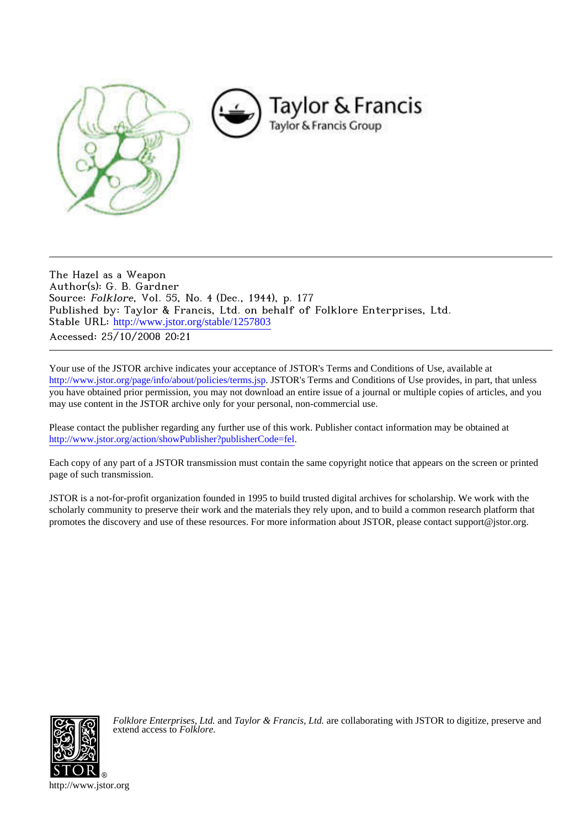

The Hazel as a Weapon Author(s): G. B. Gardner Source: Folklore, Vol. 55, No. 4 (Dec., 1944), p. 177 Published by: Taylor & Francis, Ltd. on behalf of Folklore Enterprises, Ltd. Stable URL: [http://www.jstor.org/stable/1257803](http://www.jstor.org/stable/1257803?origin=JSTOR-pdf) Accessed: 25/10/2008 20:21

Your use of the JSTOR archive indicates your acceptance of JSTOR's Terms and Conditions of Use, available at <http://www.jstor.org/page/info/about/policies/terms.jsp>. JSTOR's Terms and Conditions of Use provides, in part, that unless you have obtained prior permission, you may not download an entire issue of a journal or multiple copies of articles, and you may use content in the JSTOR archive only for your personal, non-commercial use.

Please contact the publisher regarding any further use of this work. Publisher contact information may be obtained at [http://www.jstor.org/action/showPublisher?publisherCode=fel.](http://www.jstor.org/action/showPublisher?publisherCode=fel)

Each copy of any part of a JSTOR transmission must contain the same copyright notice that appears on the screen or printed page of such transmission.

JSTOR is a not-for-profit organization founded in 1995 to build trusted digital archives for scholarship. We work with the scholarly community to preserve their work and the materials they rely upon, and to build a common research platform that promotes the discovery and use of these resources. For more information about JSTOR, please contact support@jstor.org.



*Folklore Enterprises, Ltd.* and *Taylor & Francis, Ltd.* are collaborating with JSTOR to digitize, preserve and extend access to *Folklore.*